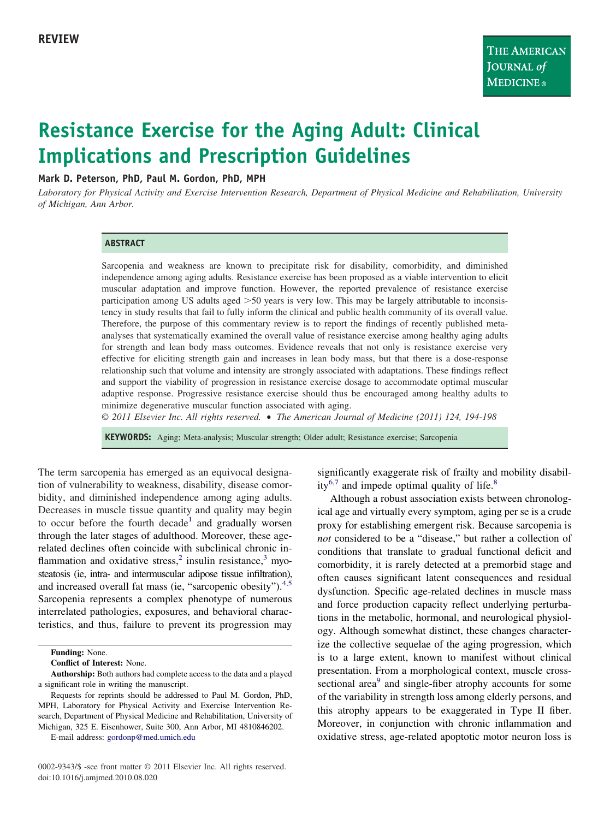# **Resistance Exercise for the Aging Adult: Clinical Implications and Prescription Guidelines**

## **Mark D. Peterson, PhD, Paul M. Gordon, PhD, MPH**

*Laboratory for Physical Activity and Exercise Intervention Research, Department of Physical Medicine and Rehabilitation, University of Michigan, Ann Arbor.*

#### **ABSTRACT**

Sarcopenia and weakness are known to precipitate risk for disability, comorbidity, and diminished independence among aging adults. Resistance exercise has been proposed as a viable intervention to elicit muscular adaptation and improve function. However, the reported prevalence of resistance exercise participation among US adults aged  $>50$  years is very low. This may be largely attributable to inconsistency in study results that fail to fully inform the clinical and public health community of its overall value. Therefore, the purpose of this commentary review is to report the findings of recently published metaanalyses that systematically examined the overall value of resistance exercise among healthy aging adults for strength and lean body mass outcomes. Evidence reveals that not only is resistance exercise very effective for eliciting strength gain and increases in lean body mass, but that there is a dose-response relationship such that volume and intensity are strongly associated with adaptations. These findings reflect and support the viability of progression in resistance exercise dosage to accommodate optimal muscular adaptive response. Progressive resistance exercise should thus be encouraged among healthy adults to minimize degenerative muscular function associated with aging.

*© 2011 Elsevier Inc. All rights reserved.* • *The American Journal of Medicine (2011) 124, 194-198*

**KEYWORDS:** Aging; Meta-analysis; Muscular strength; Older adult; Resistance exercise; Sarcopenia

The term sarcopenia has emerged as an equivocal designation of vulnerability to weakness, disability, disease comorbidity, and diminished independence among aging adults. Decreases in muscle tissue quantity and quality may begin to occur before the fourth decade<sup>[1](#page-3-0)</sup> and gradually worsen through the later stages of adulthood. Moreover, these agerelated declines often coincide with subclinical chronic in-flammation and oxidative stress,<sup>[2](#page-3-1)</sup> insulin resistance, $3 \text{ myo}$  $3 \text{ myo}$ steatosis (ie, intra- and intermuscular adipose tissue infiltration), and increased overall fat mass (ie, "sarcopenic obesity"). $4.5$ Sarcopenia represents a complex phenotype of numerous interrelated pathologies, exposures, and behavioral characteristics, and thus, failure to prevent its progression may significantly exaggerate risk of frailty and mobility disabil-ity<sup>[6,7](#page-3-4)</sup> and impede optimal quality of life. $8$ 

Although a robust association exists between chronological age and virtually every symptom, aging per se is a crude proxy for establishing emergent risk. Because sarcopenia is *not* considered to be a "disease," but rather a collection of conditions that translate to gradual functional deficit and comorbidity, it is rarely detected at a premorbid stage and often causes significant latent consequences and residual dysfunction. Specific age-related declines in muscle mass and force production capacity reflect underlying perturbations in the metabolic, hormonal, and neurological physiology. Although somewhat distinct, these changes characterize the collective sequelae of the aging progression, which is to a large extent, known to manifest without clinical presentation. From a morphological context, muscle cross-sectional area<sup>[9](#page-3-6)</sup> and single-fiber atrophy accounts for some of the variability in strength loss among elderly persons, and this atrophy appears to be exaggerated in Type II fiber. Moreover, in conjunction with chronic inflammation and oxidative stress, age-related apoptotic motor neuron loss is

**Funding:** None.

**Conflict of Interest:** None.

**Authorship:** Both authors had complete access to the data and a played a significant role in writing the manuscript.

Requests for reprints should be addressed to Paul M. Gordon, PhD, MPH, Laboratory for Physical Activity and Exercise Intervention Research, Department of Physical Medicine and Rehabilitation, University of Michigan, 325 E. Eisenhower, Suite 300, Ann Arbor, MI 4810846202.

E-mail address: [gordonp@med.umich.edu](mailto:gordonp@med.umich.edu)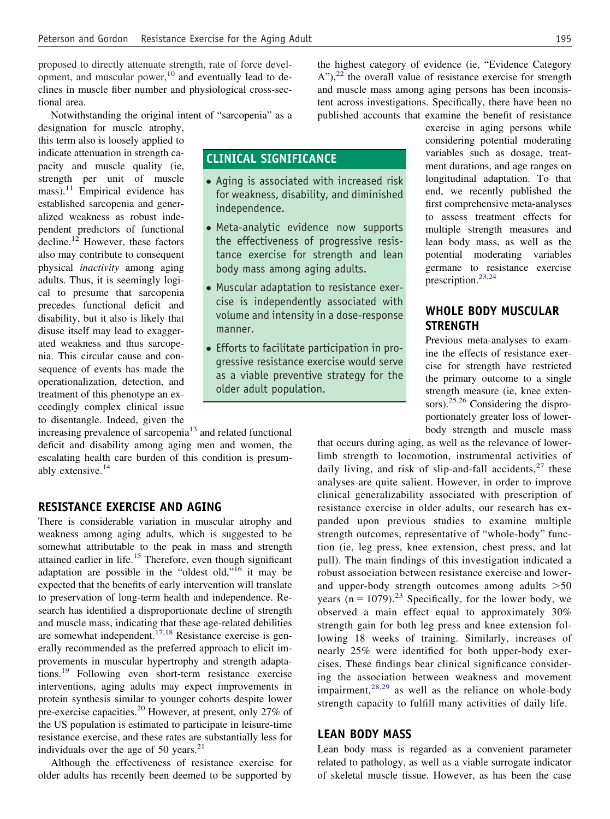proposed to directly attenuate strength, rate of force development, and muscular power, $10$  and eventually lead to declines in muscle fiber number and physiological cross-sectional area.

Notwithstanding the original intent of "sarcopenia" as a

**CLINICAL SIGNIFICANCE**

independence.

manner.

● Aging is associated with increased risk for weakness, disability, and diminished

● Meta-analytic evidence now supports the effectiveness of progressive resistance exercise for strength and lean

● Muscular adaptation to resistance exercise is independently associated with volume and intensity in a dose-response

● Efforts to facilitate participation in progressive resistance exercise would serve as a viable preventive strategy for the

older adult population.

body mass among aging adults.

designation for muscle atrophy, this term also is loosely applied to indicate attenuation in strength capacity and muscle quality (ie, strength per unit of muscle mass). $11$  Empirical evidence has established sarcopenia and generalized weakness as robust independent predictors of functional decline.<sup>[12](#page-3-9)</sup> However, these factors also may contribute to consequent physical *inactivity* among aging adults. Thus, it is seemingly logical to presume that sarcopenia precedes functional deficit and disability, but it also is likely that disuse itself may lead to exaggerated weakness and thus sarcopenia. This circular cause and consequence of events has made the operationalization, detection, and treatment of this phenotype an exceedingly complex clinical issue to disentangle. Indeed, given the

increasing prevalence of sarcopenia<sup>13</sup> and related functional deficit and disability among aging men and women, the escalating health care burden of this condition is presumably extensive.[14](#page-3-11)

## **RESISTANCE EXERCISE AND AGING**

There is considerable variation in muscular atrophy and weakness among aging adults, which is suggested to be somewhat attributable to the peak in mass and strength attained earlier in life.<sup>[15](#page-3-12)</sup> Therefore, even though significant adaptation are possible in the "oldest old,"<sup>[16](#page-3-13)</sup> it may be expected that the benefits of early intervention will translate to preservation of long-term health and independence. Research has identified a disproportionate decline of strength and muscle mass, indicating that these age-related debilities are somewhat independent.<sup> $17,18$ </sup> Resistance exercise is generally recommended as the preferred approach to elicit improvements in muscular hypertrophy and strength adaptations.[19](#page-3-15) Following even short-term resistance exercise interventions, aging adults may expect improvements in protein synthesis similar to younger cohorts despite lower pre-exercise capacities.[20](#page-3-16) However, at present, only 27% of the US population is estimated to participate in leisure-time resistance exercise, and these rates are substantially less for individuals over the age of 50 years. $21$ 

Although the effectiveness of resistance exercise for older adults has recently been deemed to be supported by the highest category of evidence (ie, "Evidence Category  $A$ "),<sup>[22](#page-4-0)</sup> the overall value of resistance exercise for strength and muscle mass among aging persons has been inconsistent across investigations. Specifically, there have been no published accounts that examine the benefit of resistance

> exercise in aging persons while considering potential moderating variables such as dosage, treatment durations, and age ranges on longitudinal adaptation. To that end, we recently published the first comprehensive meta-analyses to assess treatment effects for multiple strength measures and lean body mass, as well as the potential moderating variables germane to resistance exercise prescription.<sup>23,24</sup>

# **WHOLE BODY MUSCULAR STRENGTH**

Previous meta-analyses to examine the effects of resistance exercise for strength have restricted the primary outcome to a single strength measure (ie, knee exten-sors).<sup>[25,26](#page-4-2)</sup> Considering the disproportionately greater loss of lowerbody strength and muscle mass

that occurs during aging, as well as the relevance of lowerlimb strength to locomotion, instrumental activities of daily living, and risk of slip-and-fall accidents,  $27$  these analyses are quite salient. However, in order to improve clinical generalizability associated with prescription of resistance exercise in older adults, our research has expanded upon previous studies to examine multiple strength outcomes, representative of "whole-body" function (ie, leg press, knee extension, chest press, and lat pull). The main findings of this investigation indicated a robust association between resistance exercise and lowerand upper-body strength outcomes among adults  $>50$ years  $(n = 1079)^{23}$  $(n = 1079)^{23}$  $(n = 1079)^{23}$  Specifically, for the lower body, we observed a main effect equal to approximately 30% strength gain for both leg press and knee extension following 18 weeks of training. Similarly, increases of nearly 25% were identified for both upper-body exercises. These findings bear clinical significance considering the association between weakness and movement impairment, $28,29$  as well as the reliance on whole-body strength capacity to fulfill many activities of daily life.

## **LEAN BODY MASS**

Lean body mass is regarded as a convenient parameter related to pathology, as well as a viable surrogate indicator of skeletal muscle tissue. However, as has been the case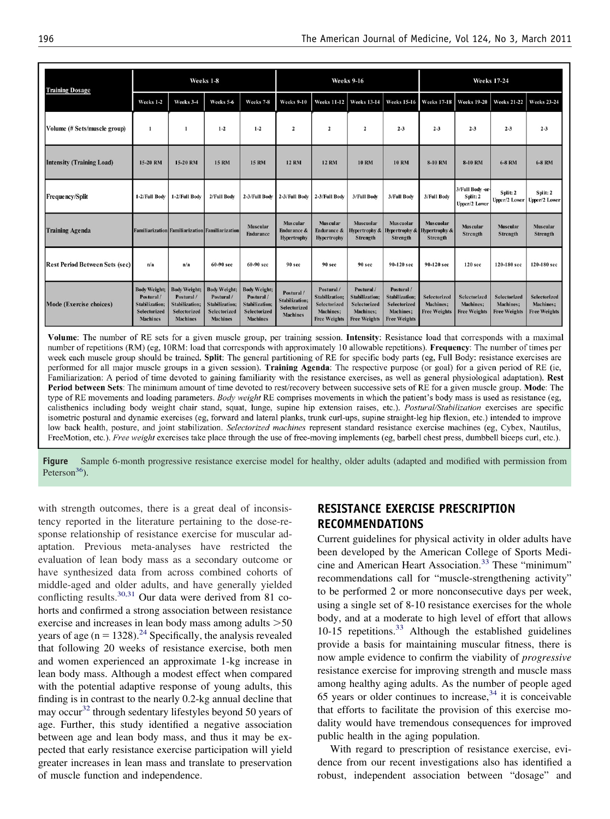| <b>Training Dosage</b>                | Weeks 1-8                                                                                    |                                                                                                      |                                                                                                      |                                                                                        | <b>Weeks 9-16</b>                                                             |                                                                                         |                                                                                                       |                                                                                                | <b>Weeks 17-24</b>                                       |                                                                |                                                  |                                                  |
|---------------------------------------|----------------------------------------------------------------------------------------------|------------------------------------------------------------------------------------------------------|------------------------------------------------------------------------------------------------------|----------------------------------------------------------------------------------------|-------------------------------------------------------------------------------|-----------------------------------------------------------------------------------------|-------------------------------------------------------------------------------------------------------|------------------------------------------------------------------------------------------------|----------------------------------------------------------|----------------------------------------------------------------|--------------------------------------------------|--------------------------------------------------|
|                                       | Weeks 1-2                                                                                    | Weeks 3-4                                                                                            | Weeks 5-6                                                                                            | Weeks 7-8                                                                              | Weeks 9-10                                                                    | <b>Weeks 11-12</b>                                                                      | <b>Weeks 13-14</b>                                                                                    | <b>Weeks 15-16</b>                                                                             | <b>Weeks 17-18</b>                                       | <b>Weeks 19-20</b>                                             | <b>Weeks 21-22</b>                               | <b>Weeks 23-24</b>                               |
| Volume (# Sets/muscle group)          | 1                                                                                            | 1                                                                                                    | $1 - 2$                                                                                              | $1 - 2$                                                                                | $\overline{2}$                                                                | $\overline{2}$                                                                          | $\overline{\mathbf{c}}$                                                                               | $2 - 3$                                                                                        | $2 - 3$                                                  | $2 - 3$                                                        | $2 - 3$                                          | $2 - 3$                                          |
| <b>Intensity (Training Load)</b>      | 15-20 RM                                                                                     | 15-20 RM                                                                                             | <b>15 RM</b>                                                                                         | <b>15 RM</b>                                                                           | <b>12 RM</b>                                                                  | <b>12 RM</b>                                                                            | <b>10 RM</b>                                                                                          | <b>10 RM</b>                                                                                   | 8-10 RM                                                  | <b>8-10 RM</b>                                                 | <b>6-8 RM</b>                                    | <b>6-8 RM</b>                                    |
| <b>Frequency/Split</b>                | 1-2/Full Body                                                                                | 1-2/Full Body                                                                                        | 2/Full Body                                                                                          | 2-3/Full Body 2-3/Full Body                                                            |                                                                               | 2-3/Full Body                                                                           | 3/Full Body                                                                                           | 3/Full Body                                                                                    | 3/Full Body                                              | 3/Full Body-or-<br>Split: 2<br>Upper/2 Lower                   | Split: 2<br>Upper/2 Lower                        | Split: 2<br>Upper/2 Lower                        |
| <b>Training Agenda</b>                | <b>Familiarization Familiarization Familiarization</b>                                       |                                                                                                      |                                                                                                      | <b>Muscular</b><br><b>Endurance</b>                                                    | <b>Muscular</b><br><b>Endurance &amp;</b><br><b>Hypertrophy</b>               | <b>Muscular</b><br><b>Endurance &amp;</b><br><b>Hypertrophy</b>                         | <b>Muscuolar</b><br>Hypertrophy &<br>Strength                                                         | <b>Muscuolar</b><br>Hypertrophy &<br>Strength                                                  | <b>Muscuolar</b><br><b>Hypertrophy &amp;</b><br>Strength | <b>Muscular</b><br>Strength                                    | <b>Muscular</b><br>Strength                      | <b>Muscular</b><br>Strength                      |
| <b>Rest Period Between Sets (sec)</b> | n/a                                                                                          | n/a                                                                                                  | 60-90 sec                                                                                            | 60-90 sec                                                                              | 90 sec                                                                        | 90 sec                                                                                  | 90 sec                                                                                                | 90-120 sec                                                                                     | 90-120 sec                                               | 120 sec                                                        | 120-180 sec                                      | 120-180 sec                                      |
| Mode (Exercise choices)               | <b>Body Weight;</b><br>Postural/<br><b>Stabilization:</b><br>Selectorized<br><b>Machines</b> | <b>Body Weight;</b><br>Postural /<br><b>Stabilization:</b><br><b>Selectorized</b><br><b>Machines</b> | <b>Body Weight;</b><br>Postural /<br><b>Stabilization;</b><br><b>Selectorized</b><br><b>Machines</b> | <b>Body Weight;</b><br>Postural /<br>Stabilization;<br>Selectorized<br><b>Machines</b> | Postural /<br><b>Stabilization:</b><br><b>Selectorized</b><br><b>Machines</b> | Postural /<br><b>Stabilization:</b><br>Selectorized<br>Machines;<br><b>Free Weights</b> | Postural /<br><b>Stabilization:</b><br><b>Selectorized</b><br><b>Machines:</b><br><b>Free Weights</b> | Postural /<br><b>Stabilization:</b><br><b>Selectorized</b><br>Machines;<br><b>Free Weights</b> | Selectorized<br><b>Machines:</b><br><b>Free Weights</b>  | <b>Selectorized</b><br><b>Machines:</b><br><b>Free Weights</b> | Selectorized<br>Machines;<br><b>Free Weights</b> | Selectorized<br>Machines;<br><b>Free Weights</b> |

Volume: The number of RE sets for a given muscle group, per training session. Intensity: Resistance load that corresponds with a maximal number of repetitions (RM) (eg, 10RM: load that corresponds with approximately 10 allowable repetitions). Frequency: The number of times per week each muscle group should be trained. Split: The general partitioning of RE for specific body parts (eg, Full Body: resistance exercises are performed for all major muscle groups in a given session). Training Agenda: The respective purpose (or goal) for a given period of RE (ie, Familiarization: A period of time devoted to gaining familiarity with the resistance exercises, as well as general physiological adaptation). Rest Period between Sets: The minimum amount of time devoted to rest/recovery between successive sets of RE for a given muscle group. Mode: The type of RE movements and loading parameters. Body weight RE comprises movements in which the patient's body mass is used as resistance (eg, calisthenics including body weight chair stand, squat, lunge, supine hip extension raises, etc.). Postural/Stabilization exercises are specific isometric postural and dynamic exercises (eg, forward and lateral planks, trunk curl-ups, supine straight-leg hip flexion, etc.) intended to improve low back health, posture, and joint stabilization. Selectorized machines represent standard resistance exercise machines (eg, Cybex, Nautilus, FreeMotion, etc.). Free weight exercises take place through the use of free-moving implements (eg, barbell chest press, dumbbell biceps curl, etc.).

<span id="page-2-0"></span>**Figure** Sample 6-month progressive resistance exercise model for healthy, older adults (adapted and modified with permission from Peterson $36$ ).

with strength outcomes, there is a great deal of inconsistency reported in the literature pertaining to the dose-response relationship of resistance exercise for muscular adaptation. Previous meta-analyses have restricted the evaluation of lean body mass as a secondary outcome or have synthesized data from across combined cohorts of middle-aged and older adults, and have generally yielded conflicting results.<sup>[30,31](#page-4-5)</sup> Our data were derived from 81 cohorts and confirmed a strong association between resistance exercise and increases in lean body mass among adults  $>50$ years of age  $(n = 1328)^{24}$  Specifically, the analysis revealed that following 20 weeks of resistance exercise, both men and women experienced an approximate 1-kg increase in lean body mass. Although a modest effect when compared with the potential adaptive response of young adults, this finding is in contrast to the nearly 0.2-kg annual decline that may occur<sup>[32](#page-4-7)</sup> through sedentary lifestyles beyond 50 years of age. Further, this study identified a negative association between age and lean body mass, and thus it may be expected that early resistance exercise participation will yield greater increases in lean mass and translate to preservation of muscle function and independence.

# **RESISTANCE EXERCISE PRESCRIPTION RECOMMENDATIONS**

Current guidelines for physical activity in older adults have been developed by the American College of Sports Medicine and American Heart Association[.33](#page-4-8) These "minimum" recommendations call for "muscle-strengthening activity" to be performed 2 or more nonconsecutive days per week, using a single set of 8-10 resistance exercises for the whole body, and at a moderate to high level of effort that allows 10-15 repetitions[.33](#page-4-8) Although the established guidelines provide a basis for maintaining muscular fitness, there is now ample evidence to confirm the viability of *progressive* resistance exercise for improving strength and muscle mass among healthy aging adults. As the number of people aged 65 years or older continues to increase,  $34$  it is conceivable that efforts to facilitate the provision of this exercise modality would have tremendous consequences for improved public health in the aging population.

With regard to prescription of resistance exercise, evidence from our recent investigations also has identified a robust, independent association between "dosage" and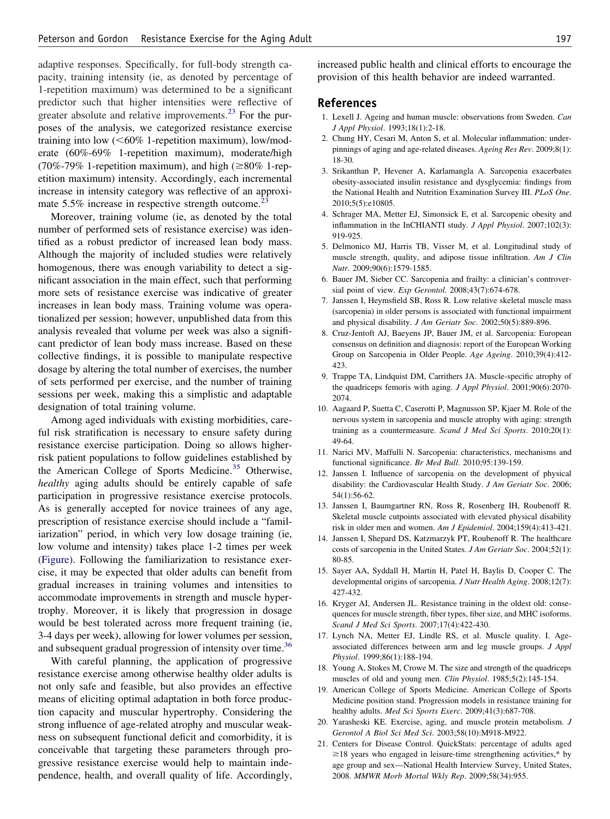adaptive responses. Specifically, for full-body strength capacity, training intensity (ie, as denoted by percentage of 1-repetition maximum) was determined to be a significant predictor such that higher intensities were reflective of greater absolute and relative improvements. $^{23}$  $^{23}$  $^{23}$  For the purposes of the analysis, we categorized resistance exercise training into low  $(<\!60\%$  1-repetition maximum), low/moderate (60%-69% 1-repetition maximum), moderate/high (70%-79% 1-repetition maximum), and high ( $\geq 80\%$  1-repetition maximum) intensity. Accordingly, each incremental increase in intensity category was reflective of an approximate  $5.5\%$  increase in respective strength outcome.<sup>23</sup>

Moreover, training volume (ie, as denoted by the total number of performed sets of resistance exercise) was identified as a robust predictor of increased lean body mass. Although the majority of included studies were relatively homogenous, there was enough variability to detect a significant association in the main effect, such that performing more sets of resistance exercise was indicative of greater increases in lean body mass. Training volume was operationalized per session; however, unpublished data from this analysis revealed that volume per week was also a significant predictor of lean body mass increase. Based on these collective findings, it is possible to manipulate respective dosage by altering the total number of exercises, the number of sets performed per exercise, and the number of training sessions per week, making this a simplistic and adaptable designation of total training volume.

Among aged individuals with existing morbidities, careful risk stratification is necessary to ensure safety during resistance exercise participation. Doing so allows higherrisk patient populations to follow guidelines established by the American College of Sports Medicine.<sup>[35](#page-4-11)</sup> Otherwise, *healthy* aging adults should be entirely capable of safe participation in progressive resistance exercise protocols. As is generally accepted for novice trainees of any age, prescription of resistance exercise should include a "familiarization" period, in which very low dosage training (ie, low volume and intensity) takes place 1-2 times per week [\(Figure\)](#page-2-0). Following the familiarization to resistance exercise, it may be expected that older adults can benefit from gradual increases in training volumes and intensities to accommodate improvements in strength and muscle hypertrophy. Moreover, it is likely that progression in dosage would be best tolerated across more frequent training (ie, 3-4 days per week), allowing for lower volumes per session, and subsequent gradual progression of intensity over time.<sup>[36](#page-4-10)</sup>

With careful planning, the application of progressive resistance exercise among otherwise healthy older adults is not only safe and feasible, but also provides an effective means of eliciting optimal adaptation in both force production capacity and muscular hypertrophy. Considering the strong influence of age-related atrophy and muscular weakness on subsequent functional deficit and comorbidity, it is conceivable that targeting these parameters through progressive resistance exercise would help to maintain independence, health, and overall quality of life. Accordingly, increased public health and clinical efforts to encourage the provision of this health behavior are indeed warranted.

#### <span id="page-3-0"></span>**References**

- 1. Lexell J. Ageing and human muscle: observations from Sweden. *Can J Appl Physiol*. 1993;18(1):2-18.
- <span id="page-3-1"></span>2. Chung HY, Cesari M, Anton S, et al. Molecular inflammation: underpinnings of aging and age-related diseases. *Ageing Res Rev*. 2009;8(1): 18-30.
- <span id="page-3-2"></span>3. Srikanthan P, Hevener A, Karlamangla A. Sarcopenia exacerbates obesity-associated insulin resistance and dysglycemia: findings from the National Health and Nutrition Examination Survey III. *PLoS One*. 2010;5(5):e10805.
- <span id="page-3-3"></span>4. Schrager MA, Metter EJ, Simonsick E, et al. Sarcopenic obesity and inflammation in the InCHIANTI study. *J Appl Physiol*. 2007;102(3): 919-925.
- 5. Delmonico MJ, Harris TB, Visser M, et al. Longitudinal study of muscle strength, quality, and adipose tissue infiltration. *Am J Clin Nutr*. 2009;90(6):1579-1585.
- <span id="page-3-4"></span>6. Bauer JM, Sieber CC. Sarcopenia and frailty: a clinician's controversial point of view. *Exp Gerontol*. 2008;43(7):674-678.
- 7. Janssen I, Heymsfield SB, Ross R. Low relative skeletal muscle mass (sarcopenia) in older persons is associated with functional impairment and physical disability. *J Am Geriatr Soc*. 2002;50(5):889-896.
- <span id="page-3-5"></span>8. Cruz-Jentoft AJ, Baeyens JP, Bauer JM, et al. Sarcopenia: European consensus on definition and diagnosis: report of the European Working Group on Sarcopenia in Older People. *Age Ageing*. 2010;39(4):412- 423.
- <span id="page-3-6"></span>9. Trappe TA, Lindquist DM, Carrithers JA. Muscle-specific atrophy of the quadriceps femoris with aging. *J Appl Physiol*. 2001;90(6):2070- 2074.
- <span id="page-3-7"></span>10. Aagaard P, Suetta C, Caserotti P, Magnusson SP, Kjaer M. Role of the nervous system in sarcopenia and muscle atrophy with aging: strength training as a countermeasure. *Scand J Med Sci Sports*. 2010;20(1): 49-64.
- <span id="page-3-9"></span><span id="page-3-8"></span>11. Narici MV, Maffulli N. Sarcopenia: characteristics, mechanisms and functional significance. *Br Med Bull*. 2010;95:139-159.
- 12. Janssen I. Influence of sarcopenia on the development of physical disability: the Cardiovascular Health Study. *J Am Geriatr Soc*. 2006; 54(1):56-62.
- <span id="page-3-10"></span>13. Janssen I, Baumgartner RN, Ross R, Rosenberg IH, Roubenoff R. Skeletal muscle cutpoints associated with elevated physical disability risk in older men and women. *Am J Epidemiol*. 2004;159(4):413-421.
- <span id="page-3-11"></span>14. Janssen I, Shepard DS, Katzmarzyk PT, Roubenoff R. The healthcare costs of sarcopenia in the United States. *J Am Geriatr Soc*. 2004;52(1): 80-85.
- <span id="page-3-12"></span>15. Sayer AA, Syddall H, Martin H, Patel H, Baylis D, Cooper C. The developmental origins of sarcopenia. *J Nutr Health Aging*. 2008;12(7): 427-432.
- <span id="page-3-13"></span>16. Kryger AI, Andersen JL. Resistance training in the oldest old: consequences for muscle strength, fiber types, fiber size, and MHC isoforms. *Scand J Med Sci Sports*. 2007;17(4):422-430.
- <span id="page-3-14"></span>17. Lynch NA, Metter EJ, Lindle RS, et al. Muscle quality. I. Ageassociated differences between arm and leg muscle groups. *J Appl Physiol*. 1999;86(1):188-194.
- <span id="page-3-15"></span>18. Young A, Stokes M, Crowe M. The size and strength of the quadriceps muscles of old and young men. *Clin Physiol*. 1985;5(2):145-154.
- 19. American College of Sports Medicine. American College of Sports Medicine position stand. Progression models in resistance training for healthy adults. *Med Sci Sports Exerc*. 2009;41(3):687-708.
- <span id="page-3-17"></span><span id="page-3-16"></span>20. Yarasheski KE. Exercise, aging, and muscle protein metabolism. *J Gerontol A Biol Sci Med Sci*. 2003;58(10):M918-M922.
- 21. Centers for Disease Control. QuickStats: percentage of adults aged  $\geq$ 18 years who engaged in leisure-time strengthening activities,\* by age group and sex—National Health Interview Survey, United States, 2008. *MMWR Morb Mortal Wkly Rep*. 2009;58(34):955.